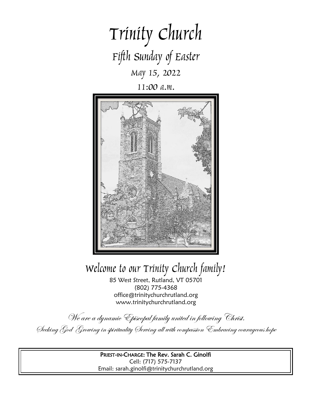



# Welcome to our Trinity Church family!

85 West Street, Rutland, VT 05701 (802) 775-4368 office@trinitychurchrutland.org www.trinitychurchrutland.org

We are a dynamic Episcopal family united in following Christ. Seeking God Growing in spirituality Serving all with compassion Embracing courageous hope

> PRIEST-IN-CHARGE: The Rev. Sarah C. Ginolfi Cell: (717) 575-7137 Email: sarah.ginolfi@trinitychurchrutland.org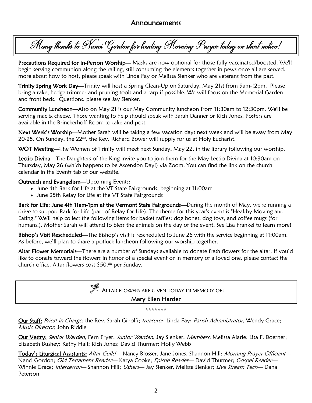## Announcements

Many thanks to Nanci Gordon for leading Morning Prayer today on short notice!

Precautions Required for In-Person Worship— Masks are now optional for those fully vaccinated/boosted. We'll begin serving communion along the railing, still consuming the elements together in pews once all are served. more about how to host, please speak with Linda Fay or Melissa Slenker who are veterans from the past.

Trinity Spring Work Day—Trinity will host a Spring Clean-Up on Saturday, May 21st from 9am-12pm. Please bring a rake, hedge trimmer and pruning tools and a tarp if possible. We will focus on the Memorial Garden and front beds. Questions, please see Jay Slenker.

Community Luncheon—Also on May 21 is our May Community luncheon from 11:30am to 12:30pm. We'll be serving mac & cheese. Those wanting to help should speak with Sarah Danner or Rich Jones. Posters are available in the Brinckerhoff Room to take and post.

Next Week's Worship—Mother Sarah will be taking a few vacation days next week and will be away from May 20-25. On Sunday, the  $22^{nd}$ , the Rev. Richard Bower will supply for us at Holy Eucharist.

WOT Meeting—The Women of Trinity will meet next Sunday, May 22, in the library following our worship.

Lectio Divina—The Daughters of the King invite you to join them for the May Lectio Divina at 10:30am on Thursday, May 26 (which happens to be Ascension Day!) via Zoom. You can find the link on the church calendar in the Events tab of our website.

### Outreach and Evangelism—Upcoming Events:

- June 4th Bark for Life at the VT State Fairgrounds, beginning at 11:00am
- June 25th Relay for Life at the VT State Fairgrounds

Bark for Life: June 4th 11am-1pm at the Vermont State Fairgrounds—During the month of May, we're running a drive to support Bark for Life (part of Relay-for-Life). The theme for this year's event is "Healthy Moving and Eating." We'll help collect the following items for basket raffles: dog bones, dog toys, and coffee mugs (for humans!). Mother Sarah will attend to bless the animals on the day of the event. See Lisa Frankel to learn more!

Bishop's Visit Rescheduled—The Bishop's visit is rescheduled to June 26 with the service beginning at 11:00am. As before, we'll plan to share a potluck luncheon following our worship together.

Altar Flower Memorials—There are a number of Sundays available to donate fresh flowers for the altar. If you'd like to donate toward the flowers in honor of a special event or in memory of a loved one, please contact the church office. Altar flowers cost  $$50.00$  per Sunday.



\*\*\*\*\*\*\*\*\*\*\*\*

Our Staff: Priest-in-Charge, the Rev. Sarah Ginolfi; treasurer, Linda Fay; Parish Administrator, Wendy Grace; Music Director, John Riddle

Our Vestry: Senior Warden, Fern Fryer; Junior Warden, Jay Slenker; Members: Melissa Alarie; Lisa F. Boerner; Elizabeth Bushey; Kathy Hall; Rich Jones; David Thurmer; Holly Webb

Today's Liturgical Assistants: Altar Guild— Nancy Blosser, Jane Jones, Shannon Hill; Morning Prayer Officiant— Nanci Gordon; Old Testament Reader— Katya Cooke; Epistle Reader— David Thurmer; Gospel Reader— Winnie Grace; Intercessor— Shannon Hill; Ushers— Jay Slenker, Melissa Slenker; Live Stream Tech— Dana Peterson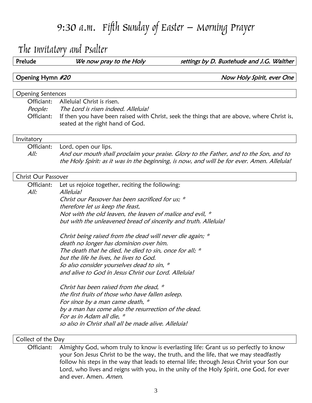# 9:30 a.m. Fifth Sunday of Easter – Morning Prayer

## The Invitatory and Psalter

Prelude We now pray to the Holy settings by D. Buxtehude and J.G. Walther Opening Hymn #20 Now Holy Spirit, ever One Opening Sentences Officiant: Alleluia! Christ is risen. People: The Lord is risen indeed. Alleluia! Officiant: If then you have been raised with Christ, seek the things that are above, where Christ is, seated at the right hand of God. Invitatory Officiant: Lord, open our lips. All: And our mouth shall proclaim your praise. Glory to the Father, and to the Son, and to the Holy Spirit: as it was in the beginning, is now, and will be for ever. Amen. Alleluia! Christ Our Passover Officiant: Let us rejoice together, reciting the following: All: Alleluia! Christ our Passover has been sacrificed for us; \* therefore let us keep the feast, Not with the old leaven, the leaven of malice and evil, \* but with the unleavened bread of sincerity and truth. Alleluia! Christ being raised from the dead will never die again; \* death no longer has dominion over him. The death that he died, he died to sin, once for all; \* but the life he lives, he lives to God. So also consider yourselves dead to sin, \* and alive to God in Jesus Christ our Lord. Alleluia! Christ has been raised from the dead, \* the first fruits of those who have fallen asleep. For since by a man came death,  $*$  by a man has come also the resurrection of the dead. For as in Adam all die, \* so also in Christ shall all be made alive. Alleluia! Collect of the Day Officiant: Almighty God, whom truly to know is everlasting life: Grant us so perfectly to know

your Son Jesus Christ to be the way, the truth, and the life, that we may steadfastly follow his steps in the way that leads to eternal life; through Jesus Christ your Son our Lord, who lives and reigns with you, in the unity of the Holy Spirit, one God, for ever and ever. Amen. Amen.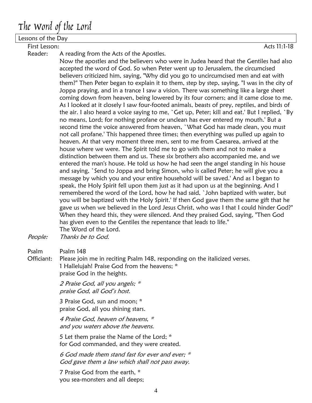## The Word of the Lord

Lessons of the Day

First Lesson: Acts 11:1-18

Reader: A reading from the Acts of the Apostles.

Now the apostles and the believers who were in Judea heard that the Gentiles had also accepted the word of God. So when Peter went up to Jerusalem, the circumcised believers criticized him, saying, "Why did you go to uncircumcised men and eat with them?" Then Peter began to explain it to them, step by step, saying, "I was in the city of Joppa praying, and in a trance I saw a vision. There was something like a large sheet coming down from heaven, being lowered by its four corners; and it came close to me. As I looked at it closely I saw four-footed animals, beasts of prey, reptiles, and birds of the air. I also heard a voice saying to me, `Get up, Peter; kill and eat.' But I replied, `By no means, Lord; for nothing profane or unclean has ever entered my mouth.' But a second time the voice answered from heaven, `What God has made clean, you must not call profane.' This happened three times; then everything was pulled up again to heaven. At that very moment three men, sent to me from Caesarea, arrived at the house where we were. The Spirit told me to go with them and not to make a distinction between them and us. These six brothers also accompanied me, and we entered the man's house. He told us how he had seen the angel standing in his house and saying, `Send to Joppa and bring Simon, who is called Peter; he will give you a message by which you and your entire household will be saved.' And as I began to speak, the Holy Spirit fell upon them just as it had upon us at the beginning. And I remembered the word of the Lord, how he had said, `John baptized with water, but you will be baptized with the Holy Spirit.' If then God gave them the same gift that he gave us when we believed in the Lord Jesus Christ, who was I that I could hinder God?" When they heard this, they were silenced. And they praised God, saying, "Then God has given even to the Gentiles the repentance that leads to life." The Word of the Lord.

People: Thanks be to God.

Psalm Psalm 148

Officiant: Please join me in reciting Psalm 148, responding on the italicized verses.

1 Hallelujah! Praise God from the heavens; \* praise God in the heights.

2 Praise God, all you angels; \* praise God, all God's host.

3 Praise God, sun and moon; \* praise God, all you shining stars.

4 Praise God, heaven of heavens, \* and you waters above the heavens.

5 Let them praise the Name of the Lord; \* for God commanded, and they were created.

6 God made them stand fast for ever and ever; \* God gave them a law which shall not pass away.

7 Praise God from the earth, \* you sea-monsters and all deeps;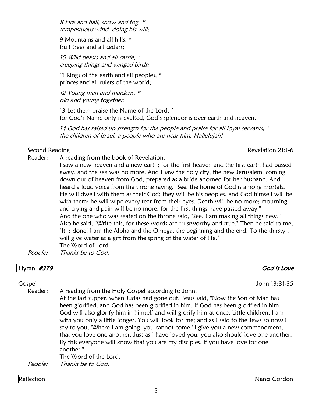8 Fire and hail, snow and fog, \* tempestuous wind, doing his will;

9 Mountains and all hills, \* fruit trees and all cedars;

10 Wild beasts and all cattle, \* creeping things and winged birds;

11 Kings of the earth and all peoples, \* princes and all rulers of the world;

12 Young men and maidens, \* old and young together.

13 Let them praise the Name of the Lord, \* for God's Name only is exalted, God's splendor is over earth and heaven.

14 God has raised up strength for the people and praise for all loyal servants, \* the children of Israel, a people who are near him. Hallelujah!

Reader: A reading from the book of Revelation.

Second Reading **Revelation 21:1-6** 

I saw a new heaven and a new earth; for the first heaven and the first earth had passed away, and the sea was no more. And I saw the holy city, the new Jerusalem, coming down out of heaven from God, prepared as a bride adorned for her husband. And I heard a loud voice from the throne saying, "See, the home of God is among mortals. He will dwell with them as their God; they will be his peoples, and God himself will be with them; he will wipe every tear from their eyes. Death will be no more; mourning and crying and pain will be no more, for the first things have passed away." And the one who was seated on the throne said, "See, I am making all things new." Also he said, "Write this, for these words are trustworthy and true." Then he said to me, "It is done! I am the Alpha and the Omega, the beginning and the end. To the thirsty I will give water as a gift from the spring of the water of life." The Word of Lord. People: Thanks be to God.

Hymn #379 God is Love

| Gospel  | John 13:31-35                                                                                                                                                                                                                                                                                                                                                                                                                                                                                                                                                                                                                                                                                                            |
|---------|--------------------------------------------------------------------------------------------------------------------------------------------------------------------------------------------------------------------------------------------------------------------------------------------------------------------------------------------------------------------------------------------------------------------------------------------------------------------------------------------------------------------------------------------------------------------------------------------------------------------------------------------------------------------------------------------------------------------------|
| Reader: | A reading from the Holy Gospel according to John.<br>At the last supper, when Judas had gone out, Jesus said, "Now the Son of Man has<br>been glorified, and God has been glorified in him. If God has been glorified in him,<br>God will also glorify him in himself and will glorify him at once. Little children, I am<br>with you only a little longer. You will look for me; and as I said to the Jews so now I<br>say to you, 'Where I am going, you cannot come.' I give you a new commandment,<br>that you love one another. Just as I have loved you, you also should love one another.<br>By this everyone will know that you are my disciples, if you have love for one<br>another."<br>The Word of the Lord. |
| People: | Thanks be to God.                                                                                                                                                                                                                                                                                                                                                                                                                                                                                                                                                                                                                                                                                                        |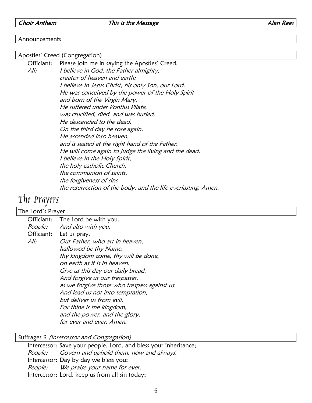#### **Announcements**

Apostles' Creed (Congregation)

Officiant: Please join me in saying the Apostles' Creed. All: I believe in God, the Father almighty, creator of heaven and earth; I believe in Jesus Christ, his only Son, our Lord. He was conceived by the power of the Holy Spirit and born of the Virgin Mary. He suffered under Pontius Pilate, was crucified, died, and was buried. He descended to the dead. On the third day he rose again. He ascended into heaven, and is seated at the right hand of the Father. He will come again to judge the living and the dead. I believe in the Holy Spirit, the holy catholic Church, the communion of saints, the forgiveness of sins the resurrection of the body, and the life everlasting. Amen.

## The Prayers

### The Lord's Prayer

| Officiant: | The Lord be with you.                        |
|------------|----------------------------------------------|
| People:    | And also with you.                           |
| Officiant: | Let us pray.                                 |
| All:       | Our Father, who art in heaven,               |
|            | hallowed be thy Name,                        |
|            | thy kingdom come, thy will be done,          |
|            | on earth as it is in heaven.                 |
|            | Give us this day our daily bread.            |
|            | And forgive us our trespasses,               |
|            | as we forgive those who trespass against us. |
|            | And lead us not into temptation,             |
|            | but deliver us from evil.                    |
|            | For thine is the kingdom,                    |
|            | and the power, and the glory,                |
|            | for ever and ever. Amen.                     |

Suffrages B (Intercessor and Congregation)

Intercessor: Save your people, Lord, and bless your inheritance; People: Govern and uphold them, now and always. Intercessor: Day by day we bless you; People: We praise your name for ever. Intercessor: Lord, keep us from all sin today;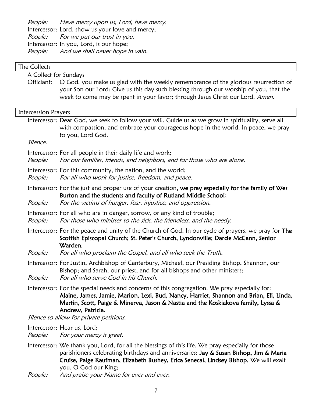People: Have mercy upon us, Lord, have mercy. Intercessor: Lord, show us your love and mercy; People: For we put our trust in you. Intercessor: In you, Lord, is our hope;<br>People: And we shall never hope if And we shall never hope in vain.

| The Collects            |                                                                                                                                                                                                                                                                                                             |  |
|-------------------------|-------------------------------------------------------------------------------------------------------------------------------------------------------------------------------------------------------------------------------------------------------------------------------------------------------------|--|
| A Collect for Sundays   |                                                                                                                                                                                                                                                                                                             |  |
| Officiant:              | O God, you make us glad with the weekly remembrance of the glorious resurrection of<br>your Son our Lord: Give us this day such blessing through our worship of you, that the<br>week to come may be spent in your favor; through Jesus Christ our Lord. Amen.                                              |  |
| Intercession Prayers    |                                                                                                                                                                                                                                                                                                             |  |
| Silence.                | Intercessor: Dear God, we seek to follow your will. Guide us as we grow in spirituality, serve all<br>with compassion, and embrace your courageous hope in the world. In peace, we pray<br>to you, Lord God.                                                                                                |  |
| People:                 | Intercessor: For all people in their daily life and work;<br>For our families, friends, and neighbors, and for those who are alone.                                                                                                                                                                         |  |
| People:                 | Intercessor: For this community, the nation, and the world;<br>For all who work for justice, freedom, and peace.                                                                                                                                                                                            |  |
| People:                 | Intercessor: For the just and proper use of your creation, we pray especially for the family of Wes<br>Burton and the students and faculty of Rutland Middle School;<br>For the victims of hunger, fear, injustice, and oppression.                                                                         |  |
| People:                 | Intercessor: For all who are in danger, sorrow, or any kind of trouble;<br>For those who minister to the sick, the friendless, and the needy.                                                                                                                                                               |  |
|                         | Intercessor: For the peace and unity of the Church of God. In our cycle of prayers, we pray for The<br>Scottish Episcopal Church; St. Peter's Church, Lyndonville; Darcie McCann, Senior<br>Warden.                                                                                                         |  |
| People:                 | For all who proclaim the Gospel, and all who seek the Truth.                                                                                                                                                                                                                                                |  |
| People:                 | Intercessor: For Justin, Archbishop of Canterbury, Michael, our Presiding Bishop, Shannon, our<br>Bishop; and Sarah, our priest, and for all bishops and other ministers;<br>For all who serve God in his Church.                                                                                           |  |
|                         | Intercessor: For the special needs and concerns of this congregation. We pray especially for:<br>Alaine, James, Jamie, Marion, Lexi, Bud, Nancy, Harriet, Shannon and Brian, Eli, Linda,<br>Martin, Scott, Paige & Minerva, Jason & Nastia and the Koskiakova family, Lyssa &<br>Andrew, Patricia.          |  |
|                         | Silence to allow for private petitions.                                                                                                                                                                                                                                                                     |  |
| People:                 | Intercessor: Hear us, Lord;<br>For your mercy is great.                                                                                                                                                                                                                                                     |  |
|                         | Intercessor: We thank you, Lord, for all the blessings of this life. We pray especially for those<br>parishioners celebrating birthdays and anniversaries: Jay & Susan Bishop, Jim & Maria<br>Cruise, Paige Kaufman, Elizabeth Bushey, Erica Senecal, Lindsey Bishop. We will exalt<br>you, O God our King; |  |
| $D_{\alpha\alpha\beta}$ | $\Delta$ nd projections $\Delta$ lame for quor and quor                                                                                                                                                                                                                                                     |  |

People: And praise your Name for ever and ever.